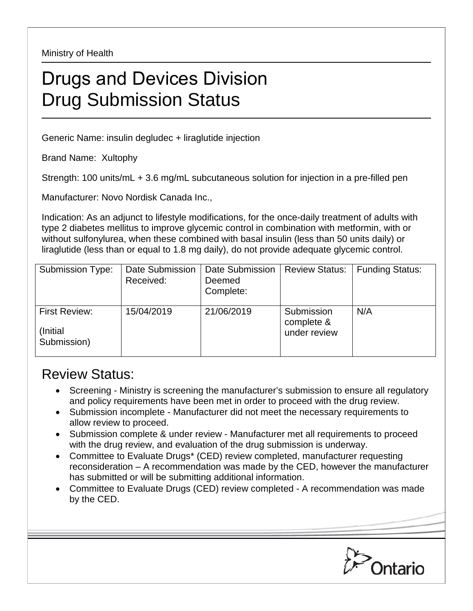Ministry of Health

## Drugs and Devices Division Drug Submission Status

Generic Name: insulin degludec + liraglutide injection

Brand Name: Xultophy

Strength: 100 units/mL + 3.6 mg/mL subcutaneous solution for injection in a pre-filled pen

Manufacturer: Novo Nordisk Canada Inc.,

Indication: As an adjunct to lifestyle modifications, for the once-daily treatment of adults with type 2 diabetes mellitus to improve glycemic control in combination with metformin, with or without sulfonylurea, when these combined with basal insulin (less than 50 units daily) or liraglutide (less than or equal to 1.8 mg daily), do not provide adequate glycemic control.

| <b>Submission Type:</b>                  | Date Submission<br>Received: | Date Submission<br>Deemed<br>Complete: | <b>Review Status:</b>                    | <b>Funding Status:</b> |
|------------------------------------------|------------------------------|----------------------------------------|------------------------------------------|------------------------|
| First Review:<br>(Initial<br>Submission) | 15/04/2019                   | 21/06/2019                             | Submission<br>complete &<br>under review | N/A                    |

## Review Status:

- Screening Ministry is screening the manufacturer's submission to ensure all regulatory and policy requirements have been met in order to proceed with the drug review.
- Submission incomplete Manufacturer did not meet the necessary requirements to allow review to proceed.
- Submission complete & under review Manufacturer met all requirements to proceed with the drug review, and evaluation of the drug submission is underway.
- Committee to Evaluate Drugs\* (CED) review completed, manufacturer requesting reconsideration – A recommendation was made by the CED, however the manufacturer has submitted or will be submitting additional information.
- Committee to Evaluate Drugs (CED) review completed A recommendation was made by the CED.